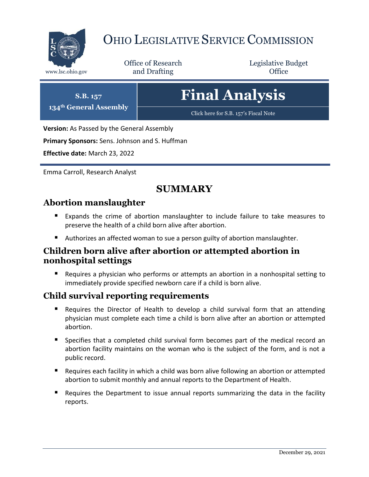

# OHIO LEGISLATIVE SERVICE COMMISSION

Office of Research www.lsc.ohio.gov **and Drafting Office** 

Legislative Budget

# **Final Analysis**

[Click here for S.B. 157](https://www.legislature.ohio.gov/legislation/legislation-documents?id=GA134-SB-157)'s Fiscal Note

**Version:** As Passed by the General Assembly

**Primary Sponsors:** Sens. Johnson and S. Huffman

**Effective date:** March 23, 2022

**S.B. 157 134th General Assembly**

Emma Carroll, Research Analyst

# **SUMMARY**

#### **Abortion manslaughter**

- Expands the crime of abortion manslaughter to include failure to take measures to preserve the health of a child born alive after abortion.
- Authorizes an affected woman to sue a person guilty of abortion manslaughter.

#### **Children born alive after abortion or attempted abortion in nonhospital settings**

 Requires a physician who performs or attempts an abortion in a nonhospital setting to immediately provide specified newborn care if a child is born alive.

## **Child survival reporting requirements**

- Requires the Director of Health to develop a child survival form that an attending physician must complete each time a child is born alive after an abortion or attempted abortion.
- Specifies that a completed child survival form becomes part of the medical record an abortion facility maintains on the woman who is the subject of the form, and is not a public record.
- Requires each facility in which a child was born alive following an abortion or attempted abortion to submit monthly and annual reports to the Department of Health.
- Requires the Department to issue annual reports summarizing the data in the facility reports.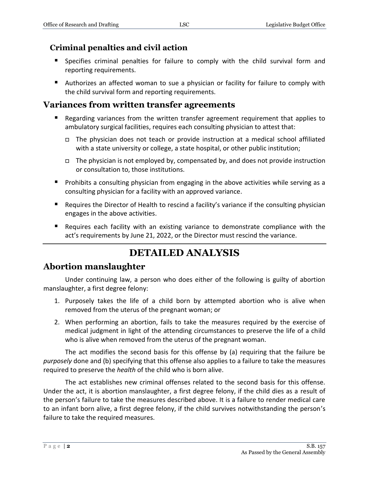## **Criminal penalties and civil action**

- Specifies criminal penalties for failure to comply with the child survival form and reporting requirements.
- Authorizes an affected woman to sue a physician or facility for failure to comply with the child survival form and reporting requirements.

# **Variances from written transfer agreements**

- Regarding variances from the written transfer agreement requirement that applies to ambulatory surgical facilities, requires each consulting physician to attest that:
	- The physician does not teach or provide instruction at a medical school affiliated with a state university or college, a state hospital, or other public institution;
	- $\Box$  The physician is not employed by, compensated by, and does not provide instruction or consultation to, those institutions.
- **Prohibits a consulting physician from engaging in the above activities while serving as a** consulting physician for a facility with an approved variance.
- **Requires the Director of Health to rescind a facility's variance if the consulting physician** engages in the above activities.
- Requires each facility with an existing variance to demonstrate compliance with the act's requirements by June 21, 2022, or the Director must rescind the variance.

# **DETAILED ANALYSIS**

## **Abortion manslaughter**

Under continuing law, a person who does either of the following is guilty of abortion manslaughter, a first degree felony:

- 1. Purposely takes the life of a child born by attempted abortion who is alive when removed from the uterus of the pregnant woman; or
- 2. When performing an abortion, fails to take the measures required by the exercise of medical judgment in light of the attending circumstances to preserve the life of a child who is alive when removed from the uterus of the pregnant woman.

The act modifies the second basis for this offense by (a) requiring that the failure be *purposely* done and (b) specifying that this offense also applies to a failure to take the measures required to preserve the *health* of the child who is born alive.

The act establishes new criminal offenses related to the second basis for this offense. Under the act, it is abortion manslaughter, a first degree felony, if the child dies as a result of the person's failure to take the measures described above. It is a failure to render medical care to an infant born alive, a first degree felony, if the child survives notwithstanding the person's failure to take the required measures.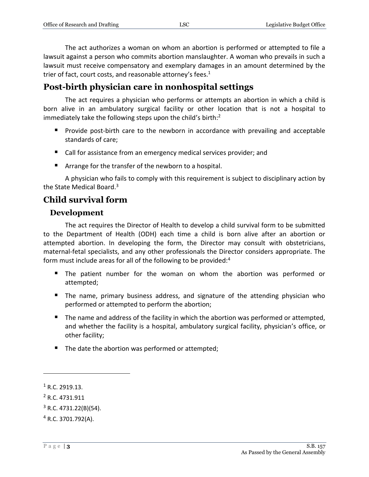The act authorizes a woman on whom an abortion is performed or attempted to file a lawsuit against a person who commits abortion manslaughter. A woman who prevails in such a lawsuit must receive compensatory and exemplary damages in an amount determined by the trier of fact, court costs, and reasonable attorney's fees. $1$ 

# **Post-birth physician care in nonhospital settings**

The act requires a physician who performs or attempts an abortion in which a child is born alive in an ambulatory surgical facility or other location that is not a hospital to immediately take the following steps upon the child's birth:<sup>2</sup>

- **Provide post-birth care to the newborn in accordance with prevailing and acceptable** standards of care;
- Call for assistance from an emergency medical services provider; and
- Arrange for the transfer of the newborn to a hospital.

A physician who fails to comply with this requirement is subject to disciplinary action by the State Medical Board.<sup>3</sup>

# **Child survival form**

#### **Development**

The act requires the Director of Health to develop a child survival form to be submitted to the Department of Health (ODH) each time a child is born alive after an abortion or attempted abortion. In developing the form, the Director may consult with obstetricians, maternal-fetal specialists, and any other professionals the Director considers appropriate. The form must include areas for all of the following to be provided:<sup>4</sup>

- The patient number for the woman on whom the abortion was performed or attempted;
- The name, primary business address, and signature of the attending physician who performed or attempted to perform the abortion;
- The name and address of the facility in which the abortion was performed or attempted, and whether the facility is a hospital, ambulatory surgical facility, physician's office, or other facility;
- The date the abortion was performed or attempted;

 $\overline{a}$ 

<sup>&</sup>lt;sup>1</sup> R.C. 2919.13.

<sup>2</sup> R.C. 4731.911

 $3$  R.C. 4731.22(B)(54).

<sup>4</sup> R.C. 3701.792(A).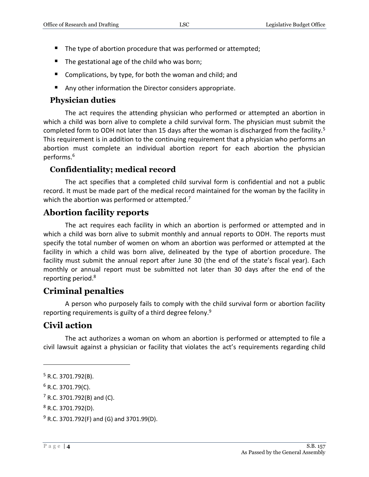- The type of abortion procedure that was performed or attempted;
- $\blacksquare$  The gestational age of the child who was born;
- Complications, by type, for both the woman and child; and
- Any other information the Director considers appropriate.

#### **Physician duties**

The act requires the attending physician who performed or attempted an abortion in which a child was born alive to complete a child survival form. The physician must submit the completed form to ODH not later than 15 days after the woman is discharged from the facility.<sup>5</sup> This requirement is in addition to the continuing requirement that a physician who performs an abortion must complete an individual abortion report for each abortion the physician performs.<sup>6</sup>

#### **Confidentiality; medical record**

The act specifies that a completed child survival form is confidential and not a public record. It must be made part of the medical record maintained for the woman by the facility in which the abortion was performed or attempted. $7$ 

#### **Abortion facility reports**

The act requires each facility in which an abortion is performed or attempted and in which a child was born alive to submit monthly and annual reports to ODH. The reports must specify the total number of women on whom an abortion was performed or attempted at the facility in which a child was born alive, delineated by the type of abortion procedure. The facility must submit the annual report after June 30 (the end of the state's fiscal year). Each monthly or annual report must be submitted not later than 30 days after the end of the reporting period.<sup>8</sup>

#### **Criminal penalties**

A person who purposely fails to comply with the child survival form or abortion facility reporting requirements is guilty of a third degree felony.<sup>9</sup>

#### **Civil action**

The act authorizes a woman on whom an abortion is performed or attempted to file a civil lawsuit against a physician or facility that violates the act's requirements regarding child

 $\overline{a}$ 

<sup>5</sup> R.C. 3701.792(B).

 $6$  R.C. 3701.79(C).

 $7$  R.C. 3701.792(B) and (C).

<sup>8</sup> R.C. 3701.792(D).

 $^{9}$  R.C. 3701.792(F) and (G) and 3701.99(D).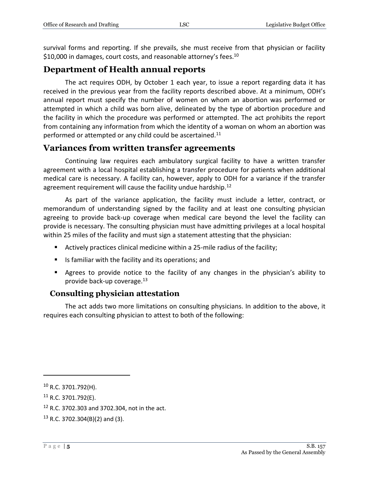survival forms and reporting. If she prevails, she must receive from that physician or facility \$10,000 in damages, court costs, and reasonable attorney's fees.<sup>10</sup>

#### **Department of Health annual reports**

The act requires ODH, by October 1 each year, to issue a report regarding data it has received in the previous year from the facility reports described above. At a minimum, ODH's annual report must specify the number of women on whom an abortion was performed or attempted in which a child was born alive, delineated by the type of abortion procedure and the facility in which the procedure was performed or attempted. The act prohibits the report from containing any information from which the identity of a woman on whom an abortion was performed or attempted or any child could be ascertained.<sup>11</sup>

#### **Variances from written transfer agreements**

Continuing law requires each ambulatory surgical facility to have a written transfer agreement with a local hospital establishing a transfer procedure for patients when additional medical care is necessary. A facility can, however, apply to ODH for a variance if the transfer agreement requirement will cause the facility undue hardship.<sup>12</sup>

As part of the variance application, the facility must include a letter, contract, or memorandum of understanding signed by the facility and at least one consulting physician agreeing to provide back-up coverage when medical care beyond the level the facility can provide is necessary. The consulting physician must have admitting privileges at a local hospital within 25 miles of the facility and must sign a statement attesting that the physician:

- Actively practices clinical medicine within a 25-mile radius of the facility;
- $\blacksquare$  Is familiar with the facility and its operations; and
- Agrees to provide notice to the facility of any changes in the physician's ability to provide back-up coverage.<sup>13</sup>

#### **Consulting physician attestation**

The act adds two more limitations on consulting physicians. In addition to the above, it requires each consulting physician to attest to both of the following:

<sup>12</sup> R.C. 3702.303 and 3702.304, not in the act.

 $\overline{a}$ 

<sup>10</sup> R.C. 3701.792(H).

<sup>11</sup> R.C. 3701.792(E).

 $13$  R.C. 3702.304(B)(2) and (3).